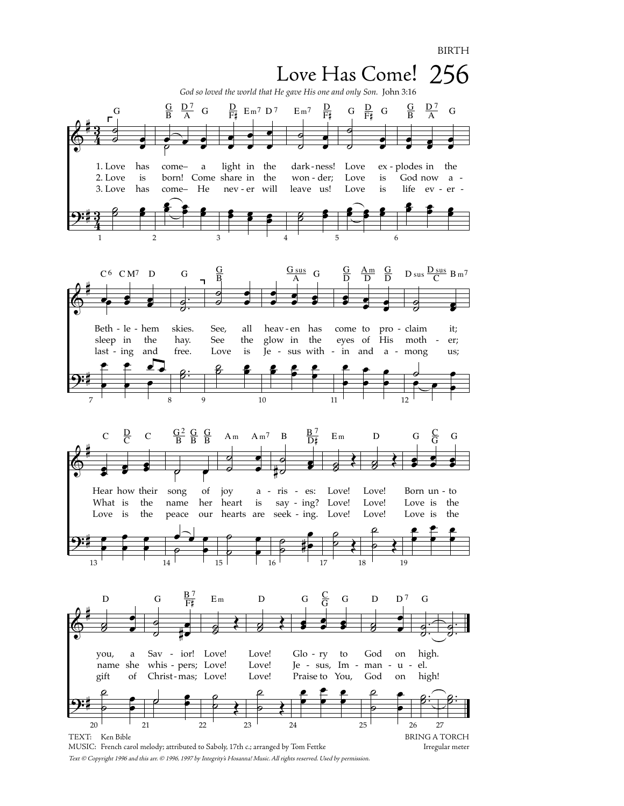**BIRTH** 



Text © Copyright 1996 and this arr. © 1996, 1997 by Integrity's Hosanna! Music. All rights reserved. Used by permission.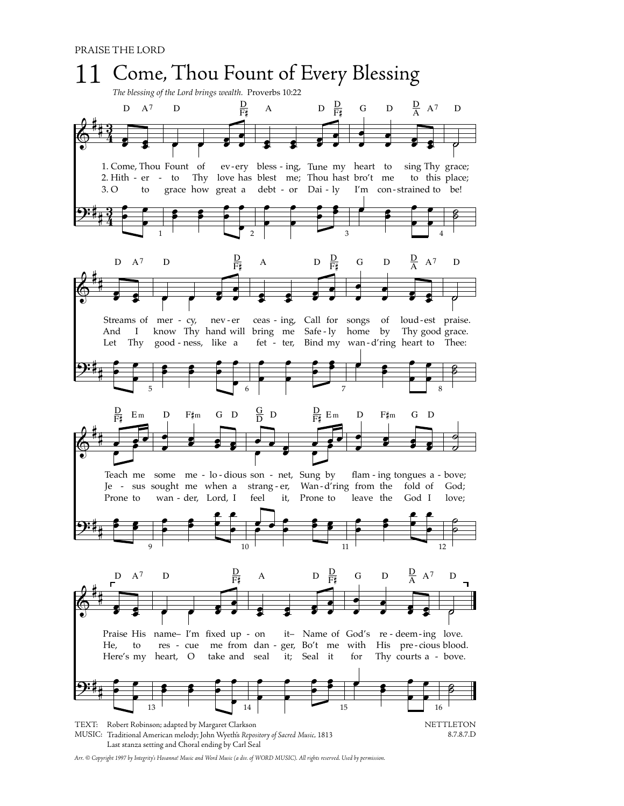

*Arr. © Copyright 1997 by Integrity's Hosanna! Music and Word Music (a div. of WORD MUSIC). All rights reserved. Used by permission.*